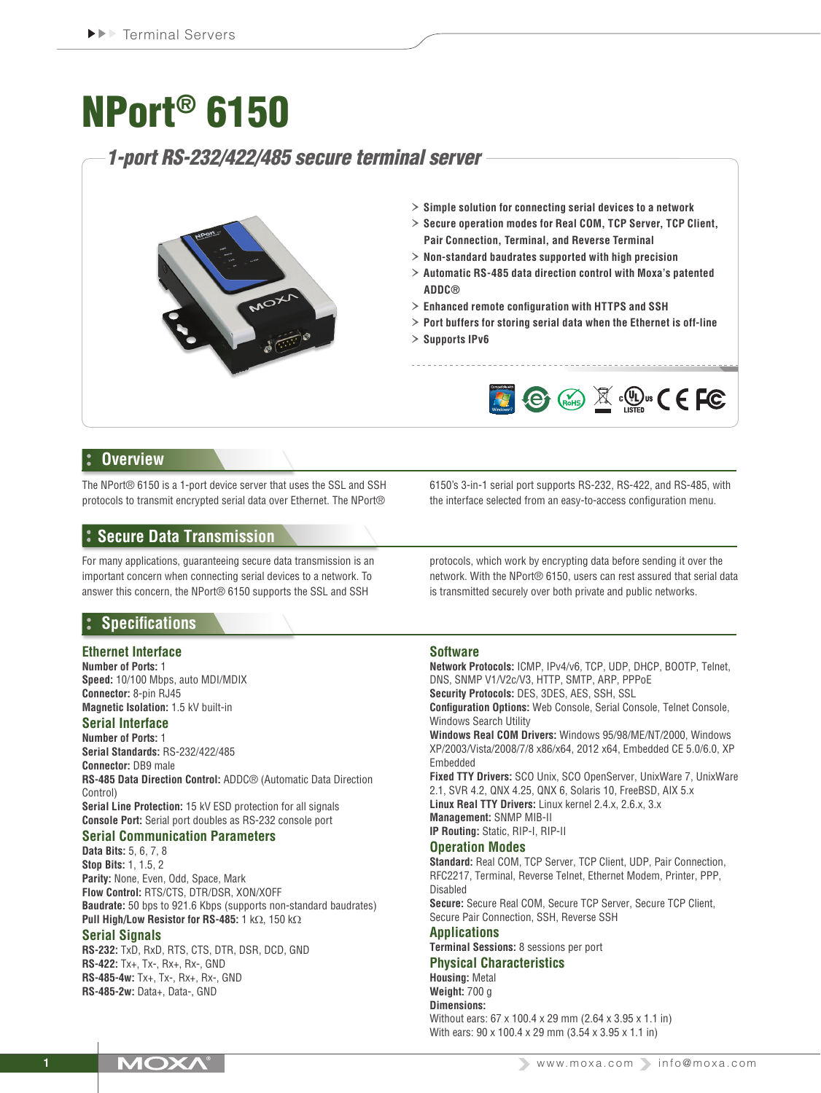# NPort® 6150

# *1-port RS-232/422/485 secure terminal server*



- › **Simple solution for connecting serial devices to a network**
- › **Secure operation modes for Real COM, TCP Server, TCP Client, Pair Connection, Terminal, and Reverse Terminal**
- › **Non-standard baudrates supported with high precision**
- › **Automatic RS-485 data direction control with Moxa's patented ADDC®**
- › **Enhanced remote configuration with HTTPS and SSH**
- › **Port buffers for storing serial data when the Ethernet is off-line**
- › **Supports IPv6**



## **Overview**

The NPort® 6150 is a 1-port device server that uses the SSL and SSH protocols to transmit encrypted serial data over Ethernet. The NPort®

**Secure Data Transmission**

For many applications, guaranteeing secure data transmission is an important concern when connecting serial devices to a network. To answer this concern, the NPort® 6150 supports the SSL and SSH

# **Specifications**

#### **Ethernet Interface**

**Number of Ports:** 1 **Speed:** 10/100 Mbps, auto MDI/MDIX **Connector:** 8-pin RJ45 **Magnetic Isolation:** 1.5 kV built-in

#### **Serial Interface**

**Number of Ports:** 1 **Serial Standards:** RS-232/422/485 **Connector:** DB9 male **RS-485 Data Direction Control:** ADDC® (Automatic Data Direction Control) **Serial Line Protection:** 15 kV ESD protection for all signals **Console Port:** Serial port doubles as RS-232 console port

# **Serial Communication Parameters**

**Data Bits:** 5, 6, 7, 8 **Stop Bits:** 1, 1.5, 2 **Parity:** None, Even, Odd, Space, Mark **Flow Control:** RTS/CTS, DTR/DSR, XON/XOFF **Baudrate:** 50 bps to 921.6 Kbps (supports non-standard baudrates) **Pull High/Low Resistor for RS-485:** 1 kΩ, 150 kΩ

#### **Serial Signals**

**RS-232:** TxD, RxD, RTS, CTS, DTR, DSR, DCD, GND **RS-422:** Tx+, Tx-, Rx+, Rx-, GND **RS-485-4w:** Tx+, Tx-, Rx+, Rx-, GND **RS-485-2w:** Data+, Data-, GND

6150's 3-in-1 serial port supports RS-232, RS-422, and RS-485, with the interface selected from an easy-to-access configuration menu.

protocols, which work by encrypting data before sending it over the network. With the NPort® 6150, users can rest assured that serial data is transmitted securely over both private and public networks.

## **Software**

**Network Protocols:** ICMP, IPv4/v6, TCP, UDP, DHCP, BOOTP, Telnet, DNS, SNMP V1/V2c/V3, HTTP, SMTP, ARP, PPPoE **Security Protocols:** DES, 3DES, AES, SSH, SSL

**Configuration Options:** Web Console, Serial Console, Telnet Console, Windows Search Utility

**Windows Real COM Drivers:** Windows 95/98/ME/NT/2000, Windows XP/2003/Vista/2008/7/8 x86/x64, 2012 x64, Embedded CE 5.0/6.0, XP Embedded

**Fixed TTY Drivers:** SCO Unix, SCO OpenServer, UnixWare 7, UnixWare 2.1, SVR 4.2, QNX 4.25, QNX 6, Solaris 10, FreeBSD, AIX 5.x **Linux Real TTY Drivers:** Linux kernel 2.4.x, 2.6.x, 3.x **Management:** SNMP MIB-II

**IP Routing:** Static, RIP-I, RIP-II

## **Operation Modes**

**Standard:** Real COM, TCP Server, TCP Client, UDP, Pair Connection, RFC2217, Terminal, Reverse Telnet, Ethernet Modem, Printer, PPP, Disabled **Secure:** Secure Real COM, Secure TCP Server, Secure TCP Client, Secure Pair Connection, SSH, Reverse SSH

## **Applications**

**Terminal Sessions:** 8 sessions per port

#### **Physical Characteristics Housing:** Metal

**Weight:** 700 g **Dimensions:**

Without ears: 67 x 100.4 x 29 mm (2.64 x 3.95 x 1.1 in) With ears: 90 x 100.4 x 29 mm (3.54 x 3.95 x 1.1 in)